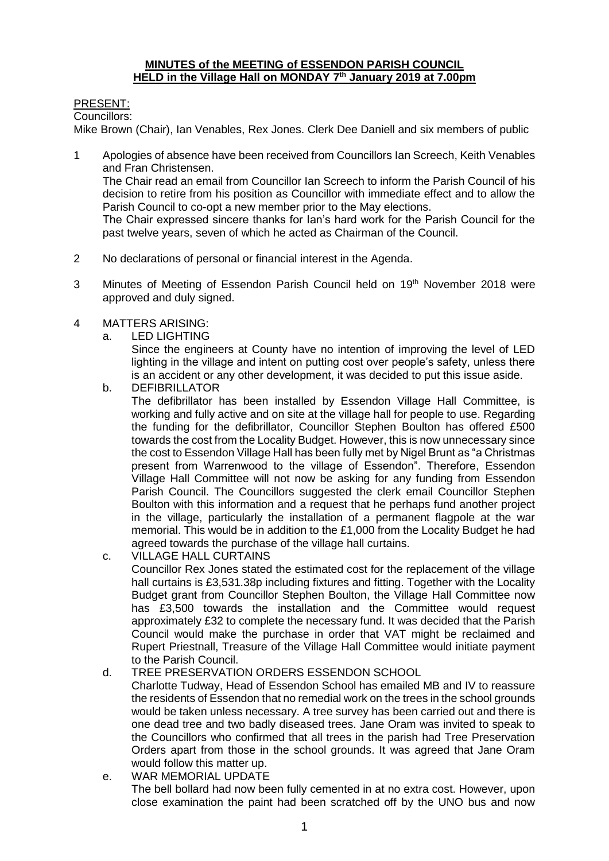#### **MINUTES of the MEETING of ESSENDON PARISH COUNCIL HELD in the Village Hall on MONDAY 7 th January 2019 at 7.00pm**

## PRESENT:

Councillors:

Mike Brown (Chair), Ian Venables, Rex Jones. Clerk Dee Daniell and six members of public

1 Apologies of absence have been received from Councillors Ian Screech, Keith Venables and Fran Christensen.

The Chair read an email from Councillor Ian Screech to inform the Parish Council of his decision to retire from his position as Councillor with immediate effect and to allow the Parish Council to co-opt a new member prior to the May elections.

The Chair expressed sincere thanks for Ian's hard work for the Parish Council for the past twelve years, seven of which he acted as Chairman of the Council.

- 2 No declarations of personal or financial interest in the Agenda.
- 3 Minutes of Meeting of Essendon Parish Council held on 19<sup>th</sup> November 2018 were approved and duly signed.
- 4 MATTERS ARISING:
	- a. LED LIGHTING

Since the engineers at County have no intention of improving the level of LED lighting in the village and intent on putting cost over people's safety, unless there is an accident or any other development, it was decided to put this issue aside.

b. DEFIBRILLATOR

The defibrillator has been installed by Essendon Village Hall Committee, is working and fully active and on site at the village hall for people to use. Regarding the funding for the defibrillator, Councillor Stephen Boulton has offered £500 towards the cost from the Locality Budget. However, this is now unnecessary since the cost to Essendon Village Hall has been fully met by Nigel Brunt as "a Christmas present from Warrenwood to the village of Essendon". Therefore, Essendon Village Hall Committee will not now be asking for any funding from Essendon Parish Council. The Councillors suggested the clerk email Councillor Stephen Boulton with this information and a request that he perhaps fund another project in the village, particularly the installation of a permanent flagpole at the war memorial. This would be in addition to the £1,000 from the Locality Budget he had agreed towards the purchase of the village hall curtains.

- c. VILLAGE HALL CURTAINS Councillor Rex Jones stated the estimated cost for the replacement of the village hall curtains is £3,531.38p including fixtures and fitting. Together with the Locality Budget grant from Councillor Stephen Boulton, the Village Hall Committee now has £3,500 towards the installation and the Committee would request approximately £32 to complete the necessary fund. It was decided that the Parish Council would make the purchase in order that VAT might be reclaimed and Rupert Priestnall, Treasure of the Village Hall Committee would initiate payment to the Parish Council.
- d. TREE PRESERVATION ORDERS ESSENDON SCHOOL Charlotte Tudway, Head of Essendon School has emailed MB and IV to reassure the residents of Essendon that no remedial work on the trees in the school grounds would be taken unless necessary. A tree survey has been carried out and there is one dead tree and two badly diseased trees. Jane Oram was invited to speak to the Councillors who confirmed that all trees in the parish had Tree Preservation Orders apart from those in the school grounds. It was agreed that Jane Oram would follow this matter up.
- e. WAR MEMORIAL UPDATE The bell bollard had now been fully cemented in at no extra cost. However, upon close examination the paint had been scratched off by the UNO bus and now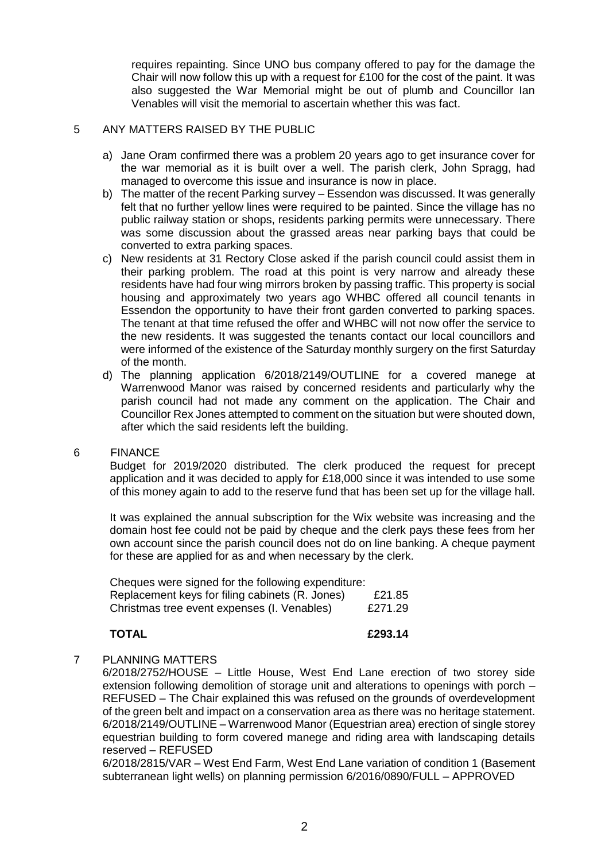requires repainting. Since UNO bus company offered to pay for the damage the Chair will now follow this up with a request for  $£100$  for the cost of the paint. It was also suggested the War Memorial might be out of plumb and Councillor Ian Venables will visit the memorial to ascertain whether this was fact.

#### 5 ANY MATTERS RAISED BY THE PUBLIC

- a) Jane Oram confirmed there was a problem 20 years ago to get insurance cover for the war memorial as it is built over a well. The parish clerk, John Spragg, had managed to overcome this issue and insurance is now in place.
- b) The matter of the recent Parking survey Essendon was discussed. It was generally felt that no further yellow lines were required to be painted. Since the village has no public railway station or shops, residents parking permits were unnecessary. There was some discussion about the grassed areas near parking bays that could be converted to extra parking spaces.
- c) New residents at 31 Rectory Close asked if the parish council could assist them in their parking problem. The road at this point is very narrow and already these residents have had four wing mirrors broken by passing traffic. This property is social housing and approximately two years ago WHBC offered all council tenants in Essendon the opportunity to have their front garden converted to parking spaces. The tenant at that time refused the offer and WHBC will not now offer the service to the new residents. It was suggested the tenants contact our local councillors and were informed of the existence of the Saturday monthly surgery on the first Saturday of the month.
- d) The planning application 6/2018/2149/OUTLINE for a covered manege at Warrenwood Manor was raised by concerned residents and particularly why the parish council had not made any comment on the application. The Chair and Councillor Rex Jones attempted to comment on the situation but were shouted down, after which the said residents left the building.

#### 6 FINANCE

Budget for 2019/2020 distributed. The clerk produced the request for precept application and it was decided to apply for £18,000 since it was intended to use some of this money again to add to the reserve fund that has been set up for the village hall.

It was explained the annual subscription for the Wix website was increasing and the domain host fee could not be paid by cheque and the clerk pays these fees from her own account since the parish council does not do on line banking. A cheque payment for these are applied for as and when necessary by the clerk.

| Cheques were signed for the following expenditure: |         |
|----------------------------------------------------|---------|
| Replacement keys for filing cabinets (R. Jones)    | £21.85  |
| Christmas tree event expenses (I. Venables)        | £271.29 |

#### **TOTAL £293.14**

#### 7 PLANNING MATTERS

6/2018/2752/HOUSE – Little House, West End Lane erection of two storey side extension following demolition of storage unit and alterations to openings with porch – REFUSED – The Chair explained this was refused on the grounds of overdevelopment of the green belt and impact on a conservation area as there was no heritage statement. 6/2018/2149/OUTLINE – Warrenwood Manor (Equestrian area) erection of single storey equestrian building to form covered manege and riding area with landscaping details reserved – REFUSED

6/2018/2815/VAR – West End Farm, West End Lane variation of condition 1 (Basement subterranean light wells) on planning permission 6/2016/0890/FULL – APPROVED